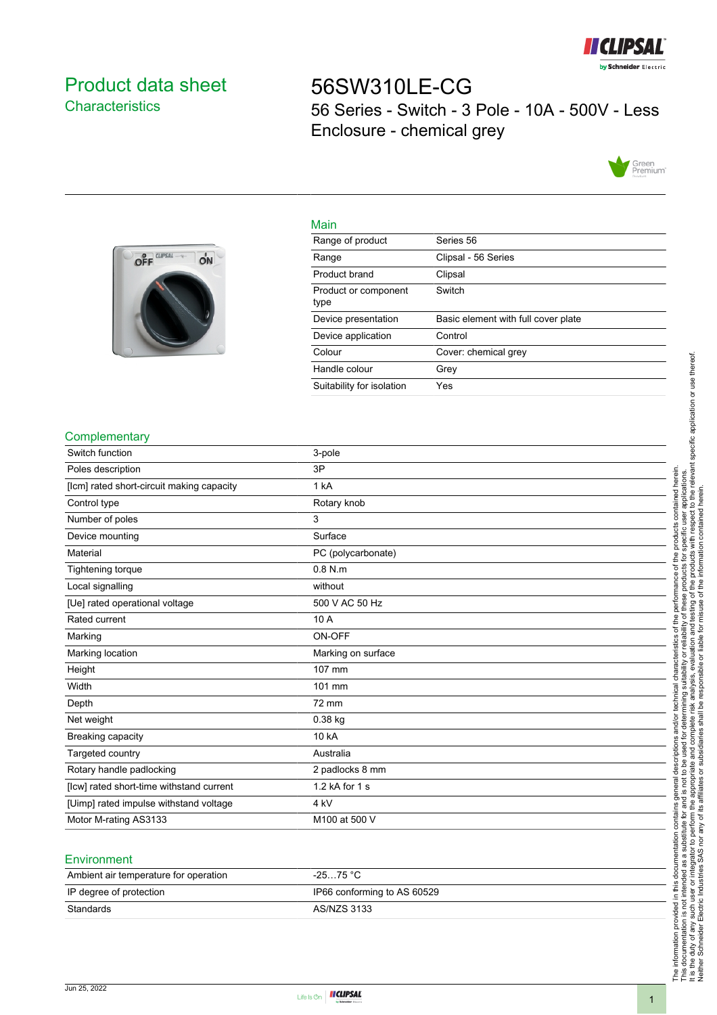

## <span id="page-0-0"></span>Product data sheet **Characteristics**

# 56SW310LE-CG 56 Series - Switch - 3 Pole - 10A - 500V - Less Enclosure - chemical grey





| Main                         |                                     |
|------------------------------|-------------------------------------|
| Range of product             | Series 56                           |
| Range                        | Clipsal - 56 Series                 |
| Product brand                | Clipsal                             |
| Product or component<br>type | Switch                              |
| Device presentation          | Basic element with full cover plate |
| Device application           | Control                             |
| Colour                       | Cover: chemical grey                |
| Handle colour                | Grev                                |
| Suitability for isolation    | Yes                                 |

#### **Complementary**

| Switch function                           | 3-pole             |
|-------------------------------------------|--------------------|
| Poles description                         | 3P                 |
| [lcm] rated short-circuit making capacity | 1 kA               |
| Control type                              | Rotary knob        |
| Number of poles                           | 3                  |
| Device mounting                           | Surface            |
| Material                                  | PC (polycarbonate) |
| Tightening torque                         | $0.8$ N.m.         |
| Local signalling                          | without            |
| [Ue] rated operational voltage            | 500 V AC 50 Hz     |
| Rated current                             | 10 A               |
| Marking                                   | ON-OFF             |
| Marking location                          | Marking on surface |
| Height                                    | 107 mm             |
| Width                                     | 101 mm             |
| Depth                                     | 72 mm              |
| Net weight                                | $0.38$ kg          |
| Breaking capacity                         | 10 kA              |
| Targeted country                          | Australia          |
| Rotary handle padlocking                  | 2 padlocks 8 mm    |
| [lcw] rated short-time withstand current  | 1.2 kA for 1 s     |
| [Uimp] rated impulse withstand voltage    | 4 kV               |
| Motor M-rating AS3133                     | M100 at 500 V      |
|                                           |                    |

#### **Environment**

| Ambient air temperature for operation | -25…75 °C                   |
|---------------------------------------|-----------------------------|
| IP degree of protection               | IP66 conforming to AS 60529 |
| Standards                             | AS/NZS 3133                 |